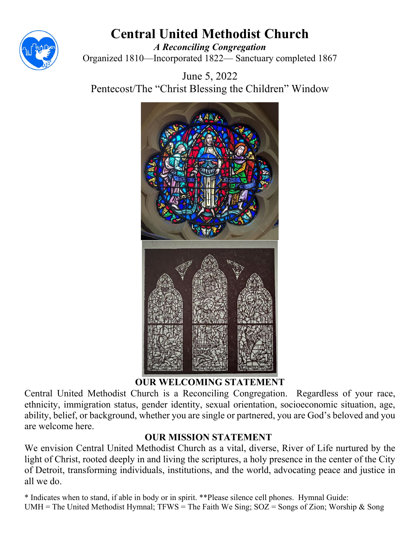

# **Central United Methodist Church**

*A Reconciling Congregation* Organized 1810—Incorporated 1822— Sanctuary completed 1867

June 5, 2022 Pentecost/The "Christ Blessing the Children" Window



# **OUR WELCOMING STATEMENT**

Central United Methodist Church is a Reconciling Congregation. Regardless of your race, ethnicity, immigration status, gender identity, sexual orientation, socioeconomic situation, age, ability, belief, or background, whether you are single or partnered, you are God's beloved and you are welcome here.

# **OUR MISSION STATEMENT**

We envision Central United Methodist Church as a vital, diverse, River of Life nurtured by the light of Christ, rooted deeply in and living the scriptures, a holy presence in the center of the City of Detroit, transforming individuals, institutions, and the world, advocating peace and justice in all we do.

\* Indicates when to stand, if able in body or in spirit. \*\*Please silence cell phones. Hymnal Guide: UMH = The United Methodist Hymnal; TFWS = The Faith We Sing;  $SOZ =$  Songs of Zion; Worship & Song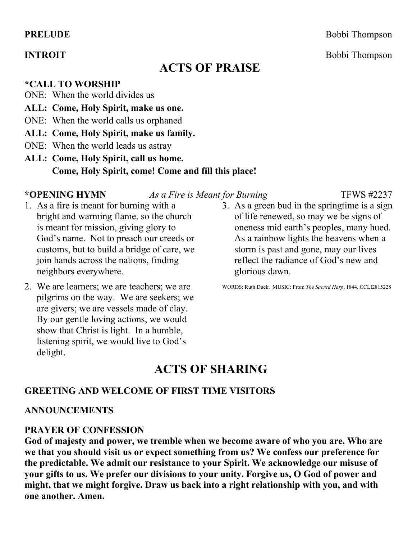# **ACTS OF PRAISE**

**\*CALL TO WORSHIP**

- ONE: When the world divides us
- **ALL: Come, Holy Spirit, make us one.**
- ONE: When the world calls us orphaned
- **ALL: Come, Holy Spirit, make us family.**
- ONE: When the world leads us astray
- **ALL: Come, Holy Spirit, call us home. Come, Holy Spirit, come! Come and fill this place!**

**\*OPENING HYMN** *As a Fire is Meant for Burning* TFWS #2237

- 1. As a fire is meant for burning with a bright and warming flame, so the church is meant for mission, giving glory to God's name. Not to preach our creeds or customs, but to build a bridge of care, we join hands across the nations, finding neighbors everywhere.
- 2. We are learners; we are teachers; we are pilgrims on the way. We are seekers; we are givers; we are vessels made of clay. By our gentle loving actions, we would show that Christ is light. In a humble, listening spirit, we would live to God's delight.
- 3. As a green bud in the springtime is a sign of life renewed, so may we be signs of oneness mid earth's peoples, many hued. As a rainbow lights the heavens when a storm is past and gone, may our lives reflect the radiance of God's new and glorious dawn.

WORDS: Ruth Duck. MUSIC: From *The Sacred Harp*, 1844. CCLI2815228

# **ACTS OF SHARING**

#### **GREETING AND WELCOME OF FIRST TIME VISITORS**

#### **ANNOUNCEMENTS**

#### **PRAYER OF CONFESSION**

**God of majesty and power, we tremble when we become aware of who you are. Who are we that you should visit us or expect something from us? We confess our preference for the predictable. We admit our resistance to your Spirit. We acknowledge our misuse of your gifts to us. We prefer our divisions to your unity. Forgive us, O God of power and might, that we might forgive. Draw us back into a right relationship with you, and with one another. Amen.**

**PRELUDE** Bobbi Thompson

**INTROIT** Bobbi Thompson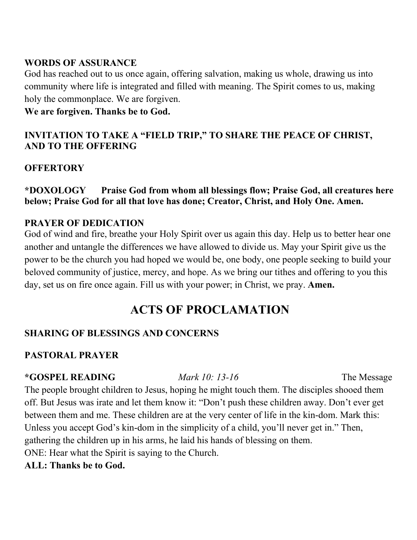# **WORDS OF ASSURANCE**

God has reached out to us once again, offering salvation, making us whole, drawing us into community where life is integrated and filled with meaning. The Spirit comes to us, making holy the commonplace. We are forgiven.

## **We are forgiven. Thanks be to God.**

# **INVITATION TO TAKE A "FIELD TRIP," TO SHARE THE PEACE OF CHRIST, AND TO THE OFFERING**

# **OFFERTORY**

## **\*DOXOLOGY Praise God from whom all blessings flow; Praise God, all creatures here below; Praise God for all that love has done; Creator, Christ, and Holy One. Amen.**

# **PRAYER OF DEDICATION**

God of wind and fire, breathe your Holy Spirit over us again this day. Help us to better hear one another and untangle the differences we have allowed to divide us. May your Spirit give us the power to be the church you had hoped we would be, one body, one people seeking to build your beloved community of justice, mercy, and hope. As we bring our tithes and offering to you this day, set us on fire once again. Fill us with your power; in Christ, we pray. **Amen.**

# **ACTS OF PROCLAMATION**

# **SHARING OF BLESSINGS AND CONCERNS**

# **PASTORAL PRAYER**

#### **\*GOSPEL READING** *Mark 10: 13-16* The Message

The people brought children to Jesus, hoping he might touch them. The disciples shooed them off. But Jesus was irate and let them know it: "Don't push these children away. Don't ever get between them and me. These children are at the very center of life in the kin-dom. Mark this: Unless you accept God's kin-dom in the simplicity of a child, you'll never get in." Then, gathering the children up in his arms, he laid his hands of blessing on them. ONE: Hear what the Spirit is saying to the Church.

## **ALL: Thanks be to God.**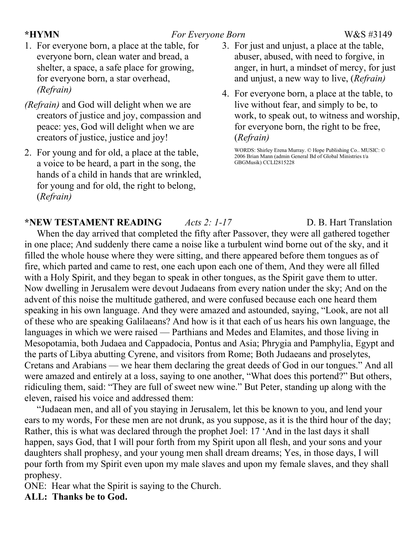#### **\*HYMN** *For Everyone Born* W&S #3149

- 1. For everyone born, a place at the table, for everyone born, clean water and bread, a shelter, a space, a safe place for growing, for everyone born, a star overhead, *(Refrain)*
- *(Refrain)* and God will delight when we are creators of justice and joy, compassion and peace: yes, God will delight when we are creators of justice, justice and joy!
- 2. For young and for old, a place at the table, a voice to be heard, a part in the song, the hands of a child in hands that are wrinkled, for young and for old, the right to belong, (*Refrain)*

# 3. For just and unjust, a place at the table, abuser, abused, with need to forgive, in anger, in hurt, a mindset of mercy, for just and unjust, a new way to live, (*Refrain)*

4. For everyone born, a place at the table, to live without fear, and simply to be, to work, to speak out, to witness and worship, for everyone born, the right to be free, (*Refrain)*

WORDS: Shirley Erena Murray. © Hope Publishing Co.. MUSIC: © 2006 Brian Mann (admin General Bd of Global Ministries t/a GBGMusik) CCLI2815228

**\*NEW TESTAMENT READING** *Acts 2: 1-17* D. B. Hart Translation When the day arrived that completed the fifty after Passover, they were all gathered together in one place; And suddenly there came a noise like a turbulent wind borne out of the sky, and it filled the whole house where they were sitting, and there appeared before them tongues as of fire, which parted and came to rest, one each upon each one of them, And they were all filled with a Holy Spirit, and they began to speak in other tongues, as the Spirit gave them to utter. Now dwelling in Jerusalem were devout Judaeans from every nation under the sky; And on the advent of this noise the multitude gathered, and were confused because each one heard them speaking in his own language. And they were amazed and astounded, saying, "Look, are not all of these who are speaking Galilaeans? And how is it that each of us hears his own language, the languages in which we were raised — Parthians and Medes and Elamites, and those living in Mesopotamia, both Judaea and Cappadocia, Pontus and Asia; Phrygia and Pamphylia, Egypt and the parts of Libya abutting Cyrene, and visitors from Rome; Both Judaeans and proselytes, Cretans and Arabians — we hear them declaring the great deeds of God in our tongues." And all were amazed and entirely at a loss, saying to one another, "What does this portend?" But others, ridiculing them, said: "They are full of sweet new wine." But Peter, standing up along with the eleven, raised his voice and addressed them:

"Judaean men, and all of you staying in Jerusalem, let this be known to you, and lend your ears to my words, For these men are not drunk, as you suppose, as it is the third hour of the day; Rather, this is what was declared through the prophet Joel: 17 'And in the last days it shall happen, says God, that I will pour forth from my Spirit upon all flesh, and your sons and your daughters shall prophesy, and your young men shall dream dreams; Yes, in those days, I will pour forth from my Spirit even upon my male slaves and upon my female slaves, and they shall prophesy.

ONE: Hear what the Spirit is saying to the Church.

## **ALL: Thanks be to God.**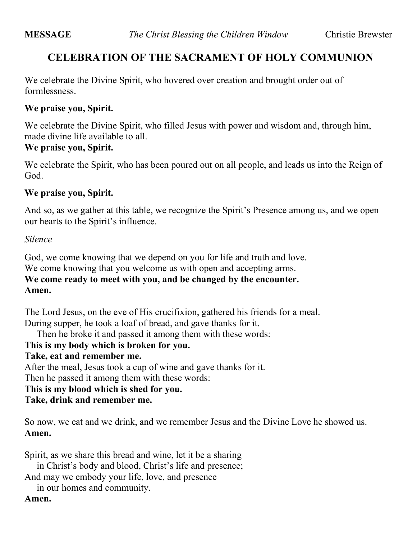# **CELEBRATION OF THE SACRAMENT OF HOLY COMMUNION**

We celebrate the Divine Spirit, who hovered over creation and brought order out of formlessness.

#### **We praise you, Spirit.**

We celebrate the Divine Spirit, who filled Jesus with power and wisdom and, through him, made divine life available to all.

# **We praise you, Spirit.**

We celebrate the Spirit, who has been poured out on all people, and leads us into the Reign of God.

#### **We praise you, Spirit.**

And so, as we gather at this table, we recognize the Spirit's Presence among us, and we open our hearts to the Spirit's influence.

#### *Silence*

God, we come knowing that we depend on you for life and truth and love. We come knowing that you welcome us with open and accepting arms. **We come ready to meet with you, and be changed by the encounter. Amen.**

The Lord Jesus, on the eve of His crucifixion, gathered his friends for a meal. During supper, he took a loaf of bread, and gave thanks for it.

Then he broke it and passed it among them with these words:

**This is my body which is broken for you.**

#### **Take, eat and remember me.**

After the meal, Jesus took a cup of wine and gave thanks for it. Then he passed it among them with these words:

**This is my blood which is shed for you.**

#### **Take, drink and remember me.**

So now, we eat and we drink, and we remember Jesus and the Divine Love he showed us. **Amen.**

Spirit, as we share this bread and wine, let it be a sharing

in Christ's body and blood, Christ's life and presence;

And may we embody your life, love, and presence

in our homes and community.

#### **Amen.**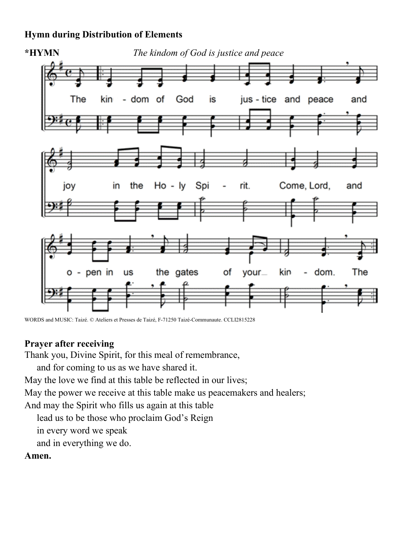## **Hymn during Distribution of Elements**



WORDS and MUSIC: Taizé. © Ateliers et Presses de Taizé, F-71250 Taizé-Communaute. CCLI2815228

#### **Prayer after receiving**

Thank you, Divine Spirit, for this meal of remembrance,

and for coming to us as we have shared it.

May the love we find at this table be reflected in our lives;

May the power we receive at this table make us peacemakers and healers;

And may the Spirit who fills us again at this table

lead us to be those who proclaim God's Reign

in every word we speak

and in everything we do.

## **Amen.**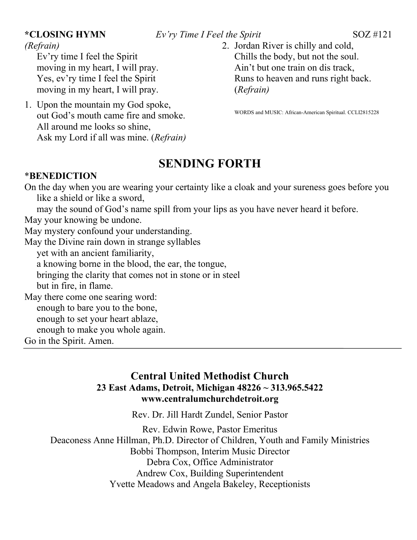#### **\*CLOSING HYMN** *Ev'ry Time I Feel the Spirit* SOZ #121

*(Refrain)*

Ev'ry time I feel the Spirit moving in my heart, I will pray. Yes, ev'ry time I feel the Spirit moving in my heart, I will pray.

1. Upon the mountain my God spoke, out God's mouth came fire and smoke. All around me looks so shine, Ask my Lord if all was mine. (*Refrain)*

## 2. Jordan River is chilly and cold, Chills the body, but not the soul. Ain't but one train on dis track, Runs to heaven and runs right back. (*Refrain)*

WORDS and MUSIC: African-American Spiritual. CCLI2815228

# **SENDING FORTH**

#### \***BENEDICTION**

On the day when you are wearing your certainty like a cloak and your sureness goes before you like a shield or like a sword, may the sound of God's name spill from your lips as you have never heard it before. May your knowing be undone. May mystery confound your understanding. May the Divine rain down in strange syllables yet with an ancient familiarity, a knowing borne in the blood, the ear, the tongue, bringing the clarity that comes not in stone or in steel but in fire, in flame. May there come one searing word: enough to bare you to the bone, enough to set your heart ablaze, enough to make you whole again. Go in the Spirit. Amen.

# **Central United Methodist Church 23 East Adams, Detroit, Michigan 48226 ~ 313.965.5422 www.centralumchurchdetroit.org**

Rev. Dr. Jill Hardt Zundel, Senior Pastor

Rev. Edwin Rowe, Pastor Emeritus

Deaconess Anne Hillman, Ph.D. Director of Children, Youth and Family Ministries Bobbi Thompson, Interim Music Director Debra Cox, Office Administrator Andrew Cox, Building Superintendent Yvette Meadows and Angela Bakeley, Receptionists